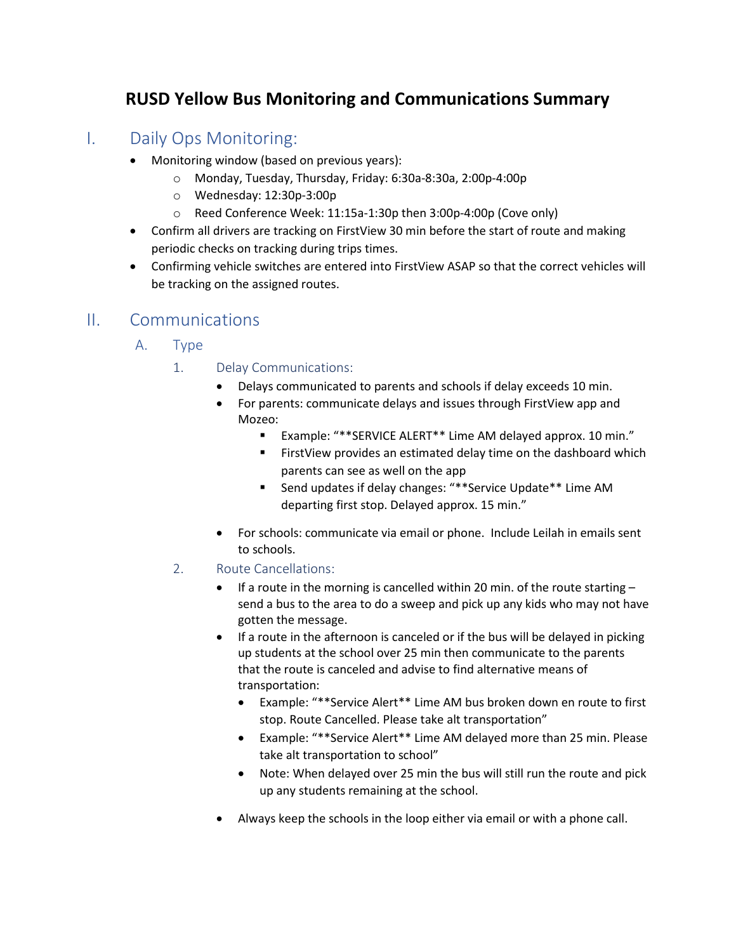## **RUSD Yellow Bus Monitoring and Communications Summary**

## I. Daily Ops Monitoring:

- Monitoring window (based on previous years):
	- o Monday, Tuesday, Thursday, Friday: 6:30a-8:30a, 2:00p-4:00p
	- o Wednesday: 12:30p-3:00p
	- o Reed Conference Week: 11:15a-1:30p then 3:00p-4:00p (Cove only)
- Confirm all drivers are tracking on FirstView 30 min before the start of route and making periodic checks on tracking during trips times.
- Confirming vehicle switches are entered into FirstView ASAP so that the correct vehicles will be tracking on the assigned routes.

### II. Communications

- A. Type
	- 1. Delay Communications:
		- Delays communicated to parents and schools if delay exceeds 10 min.
		- For parents: communicate delays and issues through FirstView app and Mozeo:
			- Example: "\*\*SERVICE ALERT\*\* Lime AM delayed approx. 10 min."
			- **FirstView provides an estimated delay time on the dashboard which** parents can see as well on the app
			- Send updates if delay changes: "\*\*Service Update\*\* Lime AM departing first stop. Delayed approx. 15 min."
		- For schools: communicate via email or phone. Include Leilah in emails sent to schools.
	- 2. Route Cancellations:
		- If a route in the morning is cancelled within 20 min. of the route starting send a bus to the area to do a sweep and pick up any kids who may not have gotten the message.
		- If a route in the afternoon is canceled or if the bus will be delayed in picking up students at the school over 25 min then communicate to the parents that the route is canceled and advise to find alternative means of transportation:
			- Example: "\*\*Service Alert\*\* Lime AM bus broken down en route to first stop. Route Cancelled. Please take alt transportation"
			- Example: "\*\*Service Alert\*\* Lime AM delayed more than 25 min. Please take alt transportation to school"
			- Note: When delayed over 25 min the bus will still run the route and pick up any students remaining at the school.
		- Always keep the schools in the loop either via email or with a phone call.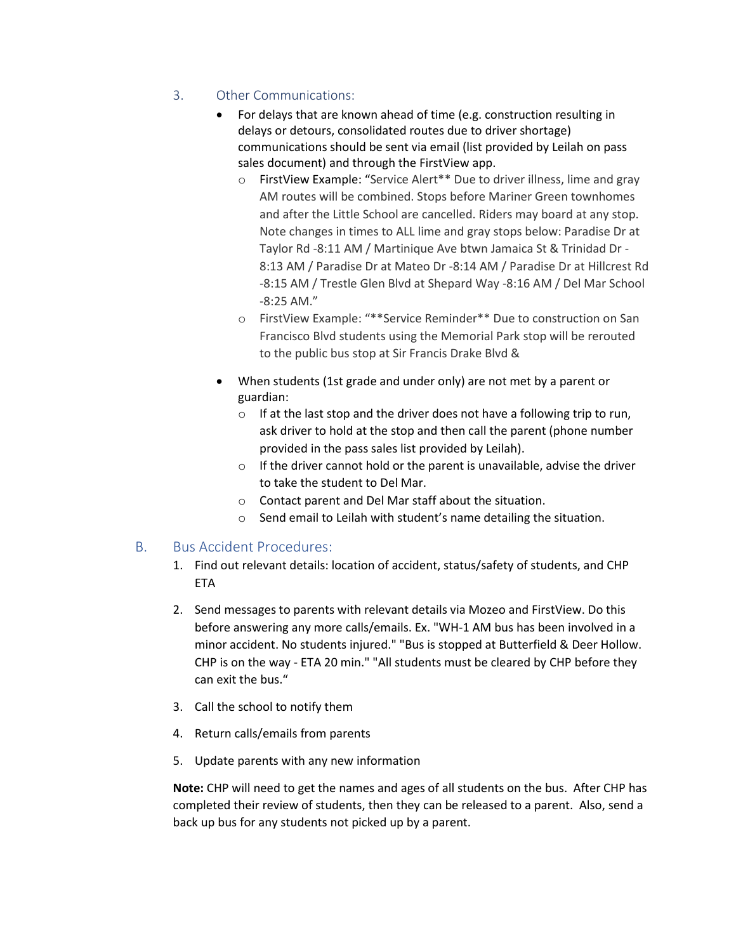#### 3. Other Communications:

- For delays that are known ahead of time (e.g. construction resulting in delays or detours, consolidated routes due to driver shortage) communications should be sent via email (list provided by Leilah on pass sales document) and through the FirstView app.
	- o FirstView Example: "Service Alert\*\* Due to driver illness, lime and gray AM routes will be combined. Stops before Mariner Green townhomes and after the Little School are cancelled. Riders may board at any stop. Note changes in times to ALL lime and gray stops below: Paradise Dr at Taylor Rd -8:11 AM / Martinique Ave btwn Jamaica St & Trinidad Dr - 8:13 AM / Paradise Dr at Mateo Dr -8:14 AM / Paradise Dr at Hillcrest Rd -8:15 AM / Trestle Glen Blvd at Shepard Way -8:16 AM / Del Mar School -8:25 AM."
	- o FirstView Example: "\*\*Service Reminder\*\* Due to construction on San Francisco Blvd students using the Memorial Park stop will be rerouted to the public bus stop at Sir Francis Drake Blvd &
- When students (1st grade and under only) are not met by a parent or guardian:
	- $\circ$  If at the last stop and the driver does not have a following trip to run, ask driver to hold at the stop and then call the parent (phone number provided in the pass sales list provided by Leilah).
	- $\circ$  If the driver cannot hold or the parent is unavailable, advise the driver to take the student to Del Mar.
	- o Contact parent and Del Mar staff about the situation.
	- o Send email to Leilah with student's name detailing the situation.

#### B. Bus Accident Procedures:

- 1. Find out relevant details: location of accident, status/safety of students, and CHP ETA
- 2. Send messages to parents with relevant details via Mozeo and FirstView. Do this before answering any more calls/emails. Ex. "WH-1 AM bus has been involved in a minor accident. No students injured." "Bus is stopped at Butterfield & Deer Hollow. CHP is on the way - ETA 20 min." "All students must be cleared by CHP before they can exit the bus."
- 3. Call the school to notify them
- 4. Return calls/emails from parents
- 5. Update parents with any new information

**Note:** CHP will need to get the names and ages of all students on the bus. After CHP has completed their review of students, then they can be released to a parent. Also, send a back up bus for any students not picked up by a parent.